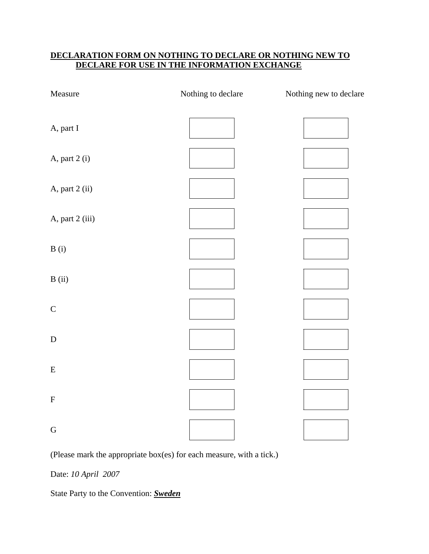## **DECLARATION FORM ON NOTHING TO DECLARE OR NOTHING NEW TO DECLARE FOR USE IN THE INFORMATION EXCHANGE**

| Measure         | Nothing to declare | Nothing new to declare |
|-----------------|--------------------|------------------------|
| A, part I       |                    |                        |
| A, part 2 (i)   |                    |                        |
| A, part 2 (ii)  |                    |                        |
| A, part 2 (iii) |                    |                        |
| B(i)            |                    |                        |
| B(i)            |                    |                        |
| $\mathsf C$     |                    |                        |
| ${\bf D}$       |                    |                        |
| ${\bf E}$       |                    |                        |
| ${\bf F}$       |                    |                        |
| ${\bf G}$       |                    |                        |

(Please mark the appropriate box(es) for each measure, with a tick.)

Date: *10 April 2007* 

State Party to the Convention: *Sweden*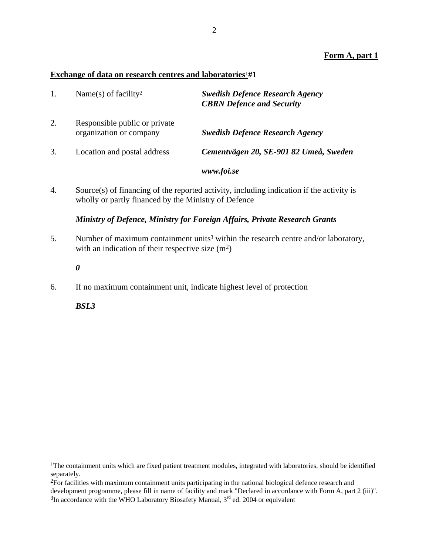### **Form A, part 1**

#### **Exchange of data on research centres and laboratories**1**#1**

|    | Name(s) of facility <sup>2</sup>                         | <b>Swedish Defence Research Agency</b><br><b>CBRN</b> Defence and Security |
|----|----------------------------------------------------------|----------------------------------------------------------------------------|
| 2. | Responsible public or private<br>organization or company | <b>Swedish Defence Research Agency</b>                                     |
| 3. | Location and postal address                              | Cementvägen 20, SE-901 82 Umeå, Sweden                                     |
|    |                                                          | www.foi.se                                                                 |

4. Source(s) of financing of the reported activity, including indication if the activity is wholly or partly financed by the Ministry of Defence

#### *Ministry of Defence, Ministry for Foreign Affairs, Private Research Grants*

- 5. Number of maximum containment units<sup>3</sup> within the research centre and/or laboratory, with an indication of their respective size  $(m<sup>2</sup>)$ 
	- *0*
- 6. If no maximum containment unit, indicate highest level of protection

*BSL3* 

1

<sup>&</sup>lt;sup>1</sup>The containment units which are fixed patient treatment modules, integrated with laboratories, should be identified separately.

<sup>2</sup>For facilities with maximum containment units participating in the national biological defence research and development programme, please fill in name of facility and mark "Declared in accordance with Form A, part 2 (iii)".  $3$ In accordance with the WHO Laboratory Biosafety Manual,  $3<sup>rd</sup>$  ed. 2004 or equivalent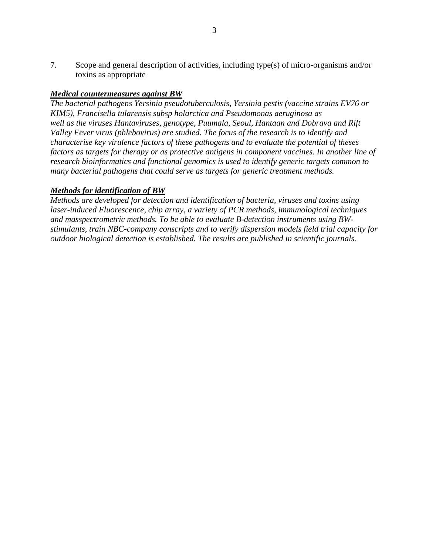7. Scope and general description of activities, including type(s) of micro-organisms and/or toxins as appropriate

### *Medical countermeasures against BW*

*The bacterial pathogens Yersinia pseudotuberculosis, Yersinia pestis (vaccine strains EV76 or KIM5), Francisella tularensis subsp holarctica and Pseudomonas aeruginosa as well as the viruses Hantaviruses, genotype, Puumala, Seoul, Hantaan and Dobrava and Rift Valley Fever virus (phlebovirus) are studied. The focus of the research is to identify and characterise key virulence factors of these pathogens and to evaluate the potential of theses factors as targets for therapy or as protective antigens in component vaccines. In another line of research bioinformatics and functional genomics is used to identify generic targets common to many bacterial pathogens that could serve as targets for generic treatment methods.* 

### *Methods for identification of BW*

*Methods are developed for detection and identification of bacteria, viruses and toxins using laser-induced Fluorescence, chip array, a variety of PCR methods, immunological techniques and masspectrometric methods. To be able to evaluate B-detection instruments using BWstimulants, train NBC-company conscripts and to verify dispersion models field trial capacity for outdoor biological detection is established. The results are published in scientific journals.*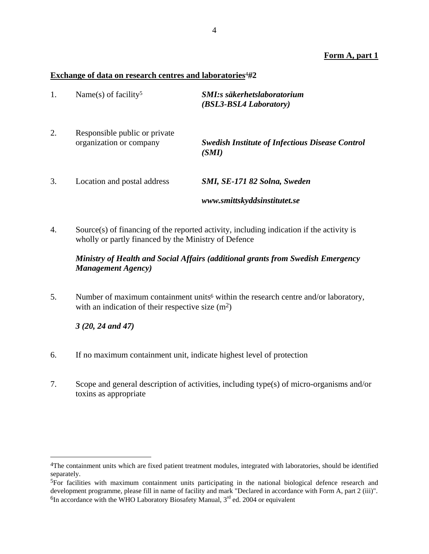### **Form A, part 1**

#### **Exchange of data on research centres and laboratories**4#**2**

| 1. | Name(s) of facility <sup>5</sup>                         | <b>SMI:s säkerhetslaboratorium</b><br>(BSL3-BSL4 Laboratory)    |
|----|----------------------------------------------------------|-----------------------------------------------------------------|
| 2. | Responsible public or private<br>organization or company | <b>Swedish Institute of Infectious Disease Control</b><br>(SMI) |
| 3. | Location and postal address                              | SMI, SE-171 82 Solna, Sweden                                    |
|    |                                                          | www.smittskyddsinstitutet.se                                    |

4. Source(s) of financing of the reported activity, including indication if the activity is wholly or partly financed by the Ministry of Defence

### *Ministry of Health and Social Affairs (additional grants from Swedish Emergency Management Agency)*

5. Number of maximum containment units<sup>6</sup> within the research centre and/or laboratory, with an indication of their respective size  $(m^2)$ 

*3 (20, 24 and 47)* 

1

- 6. If no maximum containment unit, indicate highest level of protection
- 7. Scope and general description of activities, including type(s) of micro-organisms and/or toxins as appropriate

<sup>4</sup>The containment units which are fixed patient treatment modules, integrated with laboratories, should be identified separately.

<sup>5</sup>For facilities with maximum containment units participating in the national biological defence research and development programme, please fill in name of facility and mark "Declared in accordance with Form A, part 2 (iii)".  ${}^{6}$ In accordance with the WHO Laboratory Biosafety Manual,  $3<sup>rd</sup>$  ed. 2004 or equivalent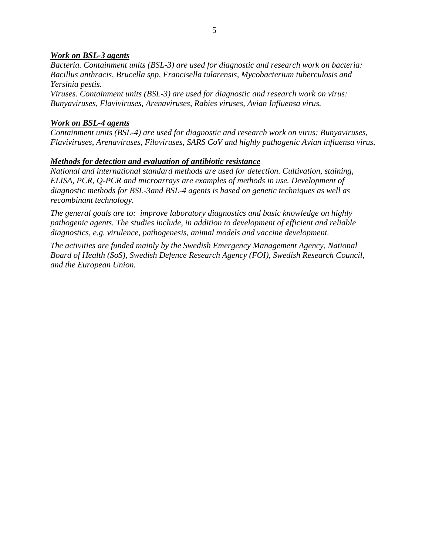#### *Work on BSL-3 agents*

*Bacteria. Containment units (BSL-3) are used for diagnostic and research work on bacteria: Bacillus anthracis, Brucella spp, Francisella tularensis, Mycobacterium tuberculosis and Yersinia pestis.* 

*Viruses. Containment units (BSL-3) are used for diagnostic and research work on virus: Bunyaviruses, Flaviviruses, Arenaviruses, Rabies viruses, Avian Influensa virus.* 

#### *Work on BSL-4 agents*

*Containment units (BSL-4) are used for diagnostic and research work on virus: Bunyaviruses, Flaviviruses, Arenaviruses, Filoviruses, SARS CoV and highly pathogenic Avian influensa virus.* 

#### *Methods for detection and evaluation of antibiotic resistance*

*National and international standard methods are used for detection. Cultivation, staining, ELISA, PCR, Q-PCR and microarrays are examples of methods in use. Development of diagnostic methods for BSL-3and BSL-4 agents is based on genetic techniques as well as recombinant technology.* 

*The general goals are to: improve laboratory diagnostics and basic knowledge on highly pathogenic agents. The studies include, in addition to development of efficient and reliable diagnostics, e.g. virulence, pathogenesis, animal models and vaccine development.* 

*The activities are funded mainly by the Swedish Emergency Management Agency, National Board of Health (SoS), Swedish Defence Research Agency (FOI), Swedish Research Council, and the European Union.*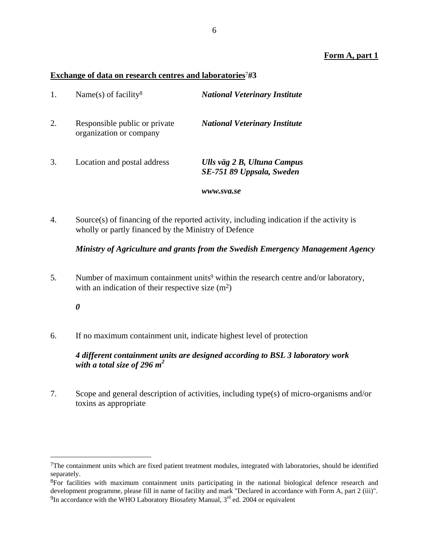### **Form A, part 1**

#### **Exchange of data on research centres and laboratories**7#**3**

| 1. | Name(s) of facility <sup>8</sup>                         | <b>National Veterinary Institute</b>                     |
|----|----------------------------------------------------------|----------------------------------------------------------|
| 2. | Responsible public or private<br>organization or company | <b>National Veterinary Institute</b>                     |
| 3. | Location and postal address                              | Ulls väg 2 B, Ultuna Campus<br>SE-751 89 Uppsala, Sweden |
|    |                                                          | www.sva.se                                               |

4. Source(s) of financing of the reported activity, including indication if the activity is wholly or partly financed by the Ministry of Defence

#### *Ministry of Agriculture and grants from the Swedish Emergency Management Agency*

5. Number of maximum containment units<sup>9</sup> within the research centre and/or laboratory, with an indication of their respective size  $(m^2)$ 

*0* 

 $\overline{a}$ 

6. If no maximum containment unit, indicate highest level of protection

## *4 different containment units are designed according to BSL 3 laboratory work*  with a total size of 296  $m^2$

7. Scope and general description of activities, including type(s) of micro-organisms and/or toxins as appropriate

 $7$ The containment units which are fixed patient treatment modules, integrated with laboratories, should be identified separately.

<sup>&</sup>lt;sup>8</sup>For facilities with maximum containment units participating in the national biological defence research and development programme, please fill in name of facility and mark "Declared in accordance with Form A, part 2 (iii)".  $9$ In accordance with the WHO Laboratory Biosafety Manual,  $3<sup>rd</sup>$  ed. 2004 or equivalent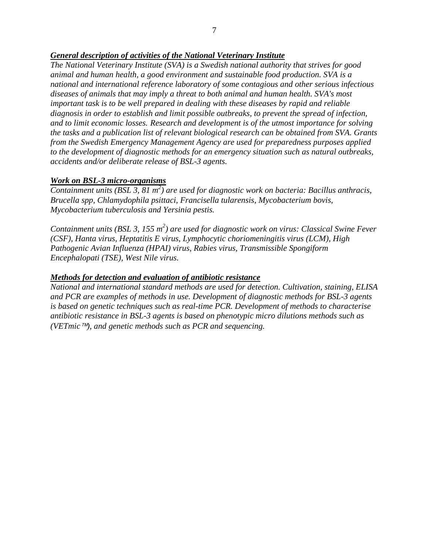### *General description of activities of the National Veterinary Institute*

*The National Veterinary Institute (SVA) is a Swedish national authority that strives for good animal and human health, a good environment and sustainable food production. SVA is a national and international reference laboratory of some contagious and other serious infectious diseases of animals that may imply a threat to both animal and human health. SVA's most important task is to be well prepared in dealing with these diseases by rapid and reliable diagnosis in order to establish and limit possible outbreaks, to prevent the spread of infection, and to limit economic losses. Research and development is of the utmost importance for solving the tasks and a publication list of relevant biological research can be obtained from SVA. Grants from the Swedish Emergency Management Agency are used for preparedness purposes applied to the development of diagnostic methods for an emergency situation such as natural outbreaks, accidents and/or deliberate release of BSL-3 agents.* 

### *Work on BSL-3 micro-organisms*

Containment units (BSL 3, 81 m<sup>2</sup>) are used for diagnostic work on bacteria: Bacillus anthracis, *Brucella spp, Chlamydophila psittaci, Francisella tularensis, Mycobacterium bovis, Mycobacterium tuberculosis and Yersinia pestis.* 

Containment units (BSL 3, 155 m<sup>2</sup>) are used for diagnostic work on virus: Classical Swine Fever *(CSF), Hanta virus, Heptatitis E virus, Lymphocytic choriomeningitis virus (LCM), High Pathogenic Avian Influenza (HPAI) virus, Rabies virus, Transmissible Spongiform Encephalopati (TSE), West Nile virus.* 

### *Methods for detection and evaluation of antibiotic resistance*

*National and international standard methods are used for detection. Cultivation, staining, ELISA and PCR are examples of methods in use. Development of diagnostic methods for BSL-3 agents is based on genetic techniques such as real-time PCR. Development of methods to characterise antibiotic resistance in BSL-3 agents is based on phenotypic micro dilutions methods such as (VETmic*™*), and genetic methods such as PCR and sequencing.*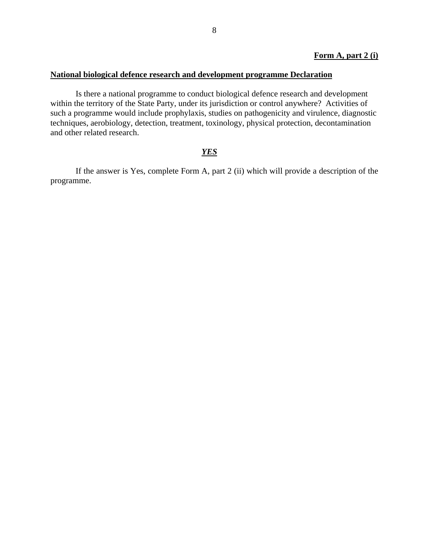#### **Form A, part 2 (i)**

#### **National biological defence research and development programme Declaration**

Is there a national programme to conduct biological defence research and development within the territory of the State Party, under its jurisdiction or control anywhere? Activities of such a programme would include prophylaxis, studies on pathogenicity and virulence, diagnostic techniques, aerobiology, detection, treatment, toxinology, physical protection, decontamination and other related research.

### *YES*

If the answer is Yes, complete Form A, part 2 (ii) which will provide a description of the programme.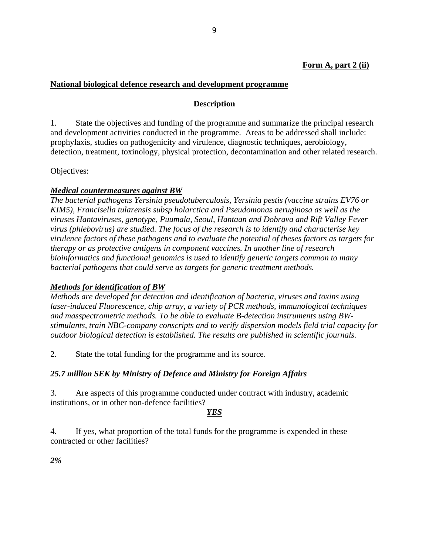## **National biological defence research and development programme**

## **Description**

1. State the objectives and funding of the programme and summarize the principal research and development activities conducted in the programme. Areas to be addressed shall include: prophylaxis, studies on pathogenicity and virulence, diagnostic techniques, aerobiology, detection, treatment, toxinology, physical protection, decontamination and other related research.

Objectives:

### *Medical countermeasures against BW*

*The bacterial pathogens Yersinia pseudotuberculosis, Yersinia pestis (vaccine strains EV76 or KIM5), Francisella tularensis subsp holarctica and Pseudomonas aeruginosa as well as the viruses Hantaviruses, genotype, Puumala, Seoul, Hantaan and Dobrava and Rift Valley Fever virus (phlebovirus) are studied. The focus of the research is to identify and characterise key virulence factors of these pathogens and to evaluate the potential of theses factors as targets for therapy or as protective antigens in component vaccines. In another line of research bioinformatics and functional genomics is used to identify generic targets common to many bacterial pathogens that could serve as targets for generic treatment methods.* 

### *Methods for identification of BW*

*Methods are developed for detection and identification of bacteria, viruses and toxins using laser-induced Fluorescence, chip array, a variety of PCR methods, immunological techniques and masspectrometric methods. To be able to evaluate B-detection instruments using BWstimulants, train NBC-company conscripts and to verify dispersion models field trial capacity for outdoor biological detection is established. The results are published in scientific journals.* 

2. State the total funding for the programme and its source.

## *25.7 million SEK by Ministry of Defence and Ministry for Foreign Affairs*

3. Are aspects of this programme conducted under contract with industry, academic institutions, or in other non-defence facilities?

## *YES*

4. If yes, what proportion of the total funds for the programme is expended in these contracted or other facilities?

*2%*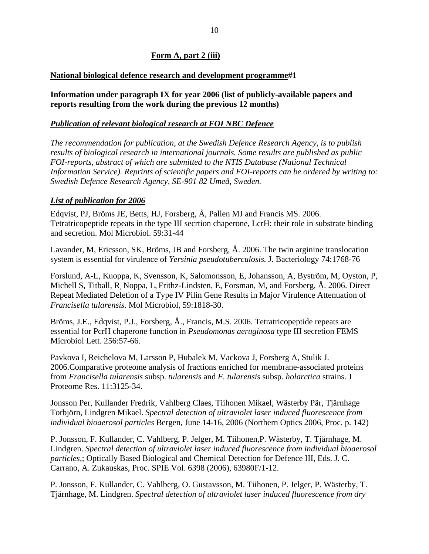#### **Form A, part 2 (iii)**

#### **National biological defence research and development programme**#**1**

**Information under paragraph IX for year 2006 (list of publicly-available papers and reports resulting from the work during the previous 12 months)** 

#### *Publication of relevant biological research at FOI NBC Defence*

*The recommendation for publication, at the Swedish Defence Research Agency, is to publish results of biological research in international journals. Some results are published as public FOI-reports, abstract of which are submitted to the NTIS Database (National Technical Information Service). Reprints of scientific papers and FOI-reports can be ordered by writing to: Swedish Defence Research Agency, SE-901 82 Umeå, Sweden.* 

#### *List of publication for 2006*

Edqvist, PJ, Bröms JE, Betts, HJ, Forsberg, Å, Pallen MJ and Francis MS. 2006. Tetratricopeptide repeats in the type III secrtion chaperone, LcrH: their role in substrate binding and secretion. Mol Microbiol. 59:31-44

Lavander, M, Ericsson, SK, Bröms, JB and Forsberg, Å. 2006. The twin arginine translocation system is essential for virulence of *Yersinia pseudotuberculosis.* J. Bacteriology 74:1768-76

Forslund, A-L, Kuoppa, K, Svensson, K, Salomonsson, E, Johansson, A, Byström, M, Oyston, P, Michell S, Titball, R, Noppa, L, Frithz-Lindsten, E, Forsman, M, and Forsberg, Å. 2006. Direct Repeat Mediated Deletion of a Type IV Pilin Gene Results in Major Virulence Attenuation of *Francisella tularensis.* Mol Microbiol, 59:1818-30.

Bröms, J.E., Edqvist, P.J., Forsberg, Å., Francis, M.S. 2006. Tetratricopeptide repeats are essential for PcrH chaperone function in *Pseudomonas aeruginosa* type III secretion FEMS Microbiol Lett. 256:57-66.

Pavkova I, Reichelova M, Larsson P, Hubalek M, Vackova J, Forsberg A, Stulik J. 2006.Comparative proteome analysis of fractions enriched for membrane-associated proteins from *Francisella tularensis* subsp. *tularensis* and *F. tularensis* subsp. *holarctica* strains. J Proteome Res. 11:3125-34.

Jonsson Per, Kullander Fredrik, Vahlberg Claes, Tiihonen Mikael, Wästerby Pär, Tjärnhage Torbjörn, Lindgren Mikael. *Spectral detection of ultraviolet laser induced fluorescence from individual bioaerosol particles* Bergen, June 14-16, 2006 (Northern Optics 2006, Proc. p. 142)

P. Jonsson, F. Kullander, C. Vahlberg, P. Jelger, M. Tiihonen,P. Wästerby, T. Tjärnhage, M. Lindgren. *Spectral detection of ultraviolet laser induced fluorescence from individual bioaerosol particles*,; Optically Based Biological and Chemical Detection for Defence III, Eds. J. C. Carrano, A. Zukauskas, Proc. SPIE Vol. 6398 (2006), 63980F/1-12.

P. Jonsson, F. Kullander, C. Vahlberg, O. Gustavsson, M. Tiihonen, P. Jelger, P. Wästerby, T. Tjärnhage, M. Lindgren. *Spectral detection of ultraviolet laser induced fluorescence from dry*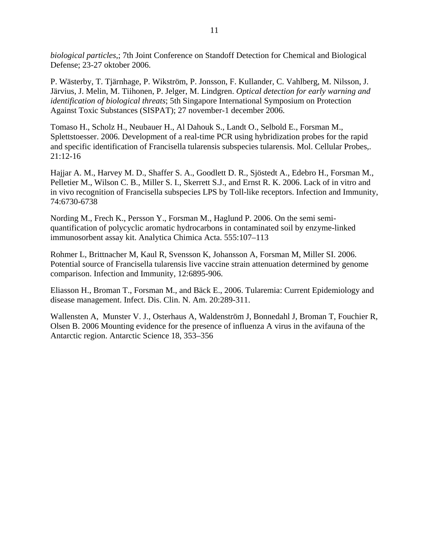*biological particles*,; 7th Joint Conference on Standoff Detection for Chemical and Biological Defense; 23-27 oktober 2006.

P. Wästerby, T. Tjärnhage, P. Wikström, P. Jonsson, F. Kullander, C. Vahlberg, M. Nilsson, J. Järvius, J. Melin, M. Tiihonen, P. Jelger, M. Lindgren. *Optical detection for early warning and identification of biological threats*; 5th Singapore International Symposium on Protection Against Toxic Substances (SISPAT); 27 november-1 december 2006.

Tomaso H., Scholz H., Neubauer H., Al Dahouk S., Landt O., Selbold E., Forsman M., Splettstoesser. 2006. Development of a real-time PCR using hybridization probes for the rapid and specific identification of Francisella tularensis subspecies tularensis. Mol. Cellular Probes,. 21:12-16

Hajjar A. M., Harvey M. D., Shaffer S. A., Goodlett D. R., Sjöstedt A., Edebro H., Forsman M., Pelletier M., Wilson C. B., Miller S. I., Skerrett S.J., and Ernst R. K. 2006. Lack of in vitro and in vivo recognition of Francisella subspecies LPS by Toll-like receptors. Infection and Immunity, 74:6730-6738

Nording M., Frech K., Persson Y., Forsman M., Haglund P. 2006. On the semi semiquantification of polycyclic aromatic hydrocarbons in contaminated soil by enzyme-linked immunosorbent assay kit. Analytica Chimica Acta. 555:107–113

Rohmer L, Brittnacher M, Kaul R, Svensson K, Johansson A, Forsman M, Miller SI. 2006. Potential source of Francisella tularensis live vaccine strain attenuation determined by genome comparison. Infection and Immunity, 12:6895-906.

Eliasson H., Broman T., Forsman M., and Bäck E., 2006. Tularemia: Current Epidemiology and disease management. Infect. Dis. Clin. N. Am. 20:289-311.

Wallensten A, Munster V. J., Osterhaus A, Waldenström J, Bonnedahl J, Broman T, Fouchier R, Olsen B. 2006 Mounting evidence for the presence of influenza A virus in the avifauna of the Antarctic region. Antarctic Science 18, 353–356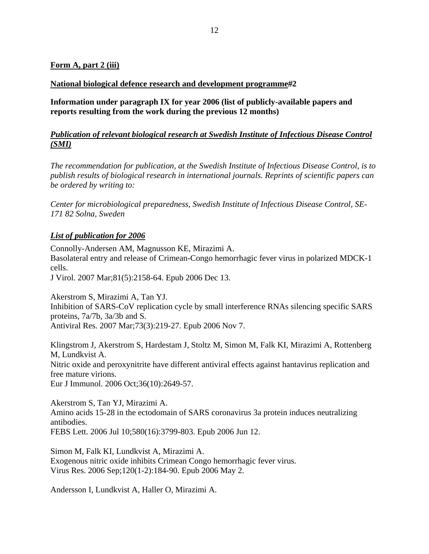#### **Form A, part 2 (iii)**

#### **National biological defence research and development programme**#**2**

**Information under paragraph IX for year 2006 (list of publicly-available papers and reports resulting from the work during the previous 12 months)** 

### *Publication of relevant biological research at Swedish Institute of Infectious Disease Control (SMI)*

*The recommendation for publication, at the Swedish Institute of Infectious Disease Control, is to publish results of biological research in international journals. Reprints of scientific papers can be ordered by writing to:* 

*Center for microbiological preparedness, Swedish Institute of Infectious Disease Control, SE-171 82 Solna, Sweden* 

#### *List of publication for 2006*

Connolly-Andersen AM, Magnusson KE, Mirazimi A. Basolateral entry and release of Crimean-Congo hemorrhagic fever virus in polarized MDCK-1 cells.

J Virol. 2007 Mar;81(5):2158-64. Epub 2006 Dec 13.

Akerstrom S, Mirazimi A, Tan YJ.

Inhibition of SARS-CoV replication cycle by small interference RNAs silencing specific SARS proteins, 7a/7b, 3a/3b and S.

Antiviral Res. 2007 Mar;73(3):219-27. Epub 2006 Nov 7.

Klingstrom J, Akerstrom S, Hardestam J, Stoltz M, Simon M, Falk KI, Mirazimi A, Rottenberg M, Lundkvist A. Nitric oxide and peroxynitrite have different antiviral effects against hantavirus replication and free mature virions.

Eur J Immunol. 2006 Oct;36(10):2649-57.

Akerstrom S, Tan YJ, Mirazimi A. Amino acids 15-28 in the ectodomain of SARS coronavirus 3a protein induces neutralizing antibodies. FEBS Lett. 2006 Jul 10;580(16):3799-803. Epub 2006 Jun 12.

Simon M, Falk KI, Lundkvist A, Mirazimi A. Exogenous nitric oxide inhibits Crimean Congo hemorrhagic fever virus. Virus Res. 2006 Sep;120(1-2):184-90. Epub 2006 May 2.

Andersson I, Lundkvist A, Haller O, Mirazimi A.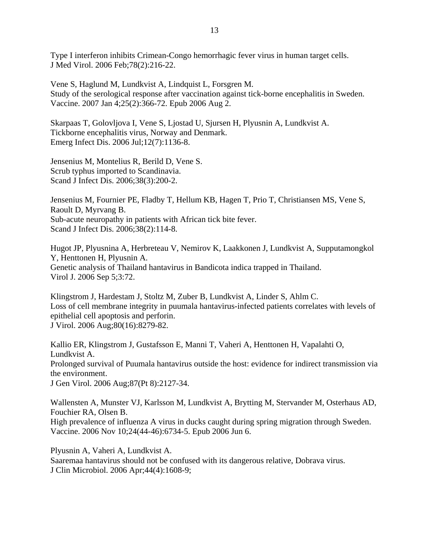Type I interferon inhibits Crimean-Congo hemorrhagic fever virus in human target cells. J Med Virol. 2006 Feb;78(2):216-22.

Vene S, Haglund M, Lundkvist A, Lindquist L, Forsgren M. Study of the serological response after vaccination against tick-borne encephalitis in Sweden. Vaccine. 2007 Jan 4;25(2):366-72. Epub 2006 Aug 2.

Skarpaas T, Golovljova I, Vene S, Ljostad U, Sjursen H, Plyusnin A, Lundkvist A. Tickborne encephalitis virus, Norway and Denmark. Emerg Infect Dis. 2006 Jul;12(7):1136-8.

Jensenius M, Montelius R, Berild D, Vene S. Scrub typhus imported to Scandinavia. Scand J Infect Dis. 2006;38(3):200-2.

Jensenius M, Fournier PE, Fladby T, Hellum KB, Hagen T, Prio T, Christiansen MS, Vene S, Raoult D, Myrvang B. Sub-acute neuropathy in patients with African tick bite fever. Scand J Infect Dis. 2006;38(2):114-8.

Hugot JP, Plyusnina A, Herbreteau V, Nemirov K, Laakkonen J, Lundkvist A, Supputamongkol Y, Henttonen H, Plyusnin A. Genetic analysis of Thailand hantavirus in Bandicota indica trapped in Thailand. Virol J. 2006 Sep 5;3:72.

Klingstrom J, Hardestam J, Stoltz M, Zuber B, Lundkvist A, Linder S, Ahlm C. Loss of cell membrane integrity in puumala hantavirus-infected patients correlates with levels of epithelial cell apoptosis and perforin. J Virol. 2006 Aug;80(16):8279-82.

Kallio ER, Klingstrom J, Gustafsson E, Manni T, Vaheri A, Henttonen H, Vapalahti O, Lundkvist A. Prolonged survival of Puumala hantavirus outside the host: evidence for indirect transmission via the environment. J Gen Virol. 2006 Aug;87(Pt 8):2127-34.

Wallensten A, Munster VJ, Karlsson M, Lundkvist A, Brytting M, Stervander M, Osterhaus AD, Fouchier RA, Olsen B. High prevalence of influenza A virus in ducks caught during spring migration through Sweden. Vaccine. 2006 Nov 10;24(44-46):6734-5. Epub 2006 Jun 6.

Plyusnin A, Vaheri A, Lundkvist A.

Saaremaa hantavirus should not be confused with its dangerous relative, Dobrava virus. J Clin Microbiol. 2006 Apr;44(4):1608-9;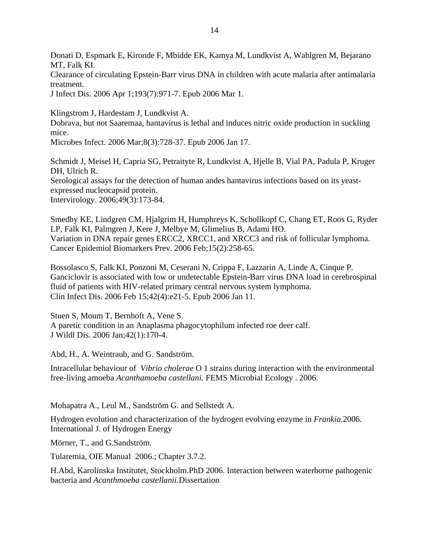Donati D, Espmark E, Kironde F, Mbidde EK, Kamya M, Lundkvist A, Wahlgren M, Bejarano MT, Falk KI.

Clearance of circulating Epstein-Barr virus DNA in children with acute malaria after antimalaria treatment.

J Infect Dis. 2006 Apr 1;193(7):971-7. Epub 2006 Mar 1.

Klingstrom J, Hardestam J, Lundkvist A.

Dobrava, but not Saaremaa, hantavirus is lethal and induces nitric oxide production in suckling mice.

Microbes Infect. 2006 Mar;8(3):728-37. Epub 2006 Jan 17.

Schmidt J, Meisel H, Capria SG, Petraityte R, Lundkvist A, Hjelle B, Vial PA, Padula P, Kruger DH, Ulrich R. Serological assays for the detection of human andes hantavirus infections based on its yeastexpressed nucleocapsid protein. Intervirology. 2006;49(3):173-84.

Smedby KE, Lindgren CM, Hjalgrim H, Humphreys K, Schollkopf C, Chang ET, Roos G, Ryder LP, Falk KI, Palmgren J, Kere J, Melbye M, Glimelius B, Adami HO. Variation in DNA repair genes ERCC2, XRCC1, and XRCC3 and risk of follicular lymphoma. Cancer Epidemiol Biomarkers Prev. 2006 Feb;15(2):258-65.

Bossolasco S, Falk KI, Ponzoni M, Ceserani N, Crippa F, Lazzarin A, Linde A, Cinque P. Ganciclovir is associated with low or undetectable Epstein-Barr virus DNA load in cerebrospinal fluid of patients with HIV-related primary central nervous system lymphoma. Clin Infect Dis. 2006 Feb 15;42(4):e21-5. Epub 2006 Jan 11.

Stuen S, Moum T, Bernhoft A, Vene S. A paretic condition in an Anaplasma phagocytophilum infected roe deer calf. J Wildl Dis. 2006 Jan;42(1):170-4.

Abd, H., A. Weintraub, and G. Sandström.

Intracellular behaviour of *Vibrio cholerae* O 1 strains during interaction with the environmental free-living amoeba *Acanthamoeba castellani.* FEMS Microbial Ecology . 2006.

Mohapatra A., Leul M., Sandström G. and Sellstedt A.

Hydrogen evolution and characterization of the hydrogen evolving enzyme in *Frankia*.2006. International J. of Hydrogen Energy

Mörner, T., and G.Sandström.

Tularemia, OIE Manual 2006.; Chapter 3.7.2.

H.Abd, Karolinska Institutet, Stockholm.PhD 2006. Interaction between waterborne pathogenic bacteria and *Acanthmoeba castellanii.*Dissertation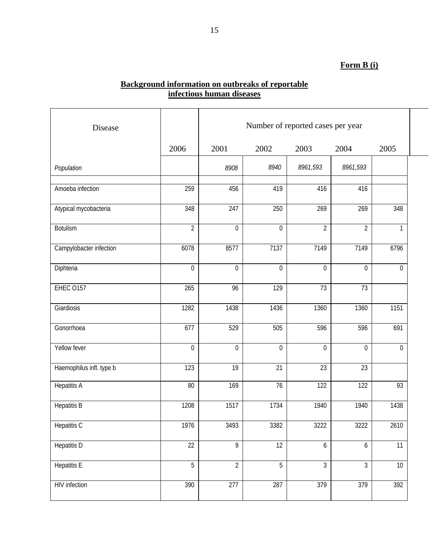# **Form B (i)**

#### **Background information on outbreaks of reportable infectious human diseases**

| Disease                  |                  | Number of reported cases per year |                   |                  |                  |                |  |  |
|--------------------------|------------------|-----------------------------------|-------------------|------------------|------------------|----------------|--|--|
|                          | 2006             | 2001                              | 2002              | 2003             | 2004             | 2005           |  |  |
| Population               |                  | 8908                              | 8940              | 8961,593         | 8961,593         |                |  |  |
| Amoeba infection         | 259              | 456                               | 419               | 416              | 416              |                |  |  |
| Atypical mycobacteria    | 348              | $\overline{247}$                  | 250               | 269              | 269              | 348            |  |  |
| <b>Botulism</b>          | $\overline{2}$   | $\mathbf 0$                       | $\boldsymbol{0}$  | $\overline{2}$   | $\overline{2}$   | 1              |  |  |
| Campylobacter infection  | 6078             | 8577                              | $\overline{7137}$ | 7149             | 7149             | 6796           |  |  |
| Diphteria                | $\boldsymbol{0}$ | $\mathbf 0$                       | $\boldsymbol{0}$  | $\mathbf 0$      | $\mathbf 0$      | $\mathbf 0$    |  |  |
| <b>EHEC 0157</b>         | 265              | 96                                | 129               | 73               | 73               |                |  |  |
| Giardiosis               | 1282             | 1438                              | 1436              | 1360             | 1360             | 1151           |  |  |
| Gonorrhoea               | 677              | 529                               | 505               | 596              | 596              | 691            |  |  |
| Yellow fever             | $\overline{0}$   | $\overline{0}$                    | $\overline{0}$    | $\Omega$         | $\overline{0}$   | $\overline{0}$ |  |  |
| Haemophilus infl. type b | 123              | 19                                | $\overline{21}$   | 23               | 23               |                |  |  |
| <b>Hepatitis A</b>       | 80               | 169                               | 76                | $\overline{122}$ | 122              | 93             |  |  |
| <b>Hepatitis B</b>       | 1208             | 1517                              | 1734              | 1940             | 1940             | 1438           |  |  |
| <b>Hepatitis C</b>       | 1976             | 3493                              | 3382              | 3222             | 3222             | 2610           |  |  |
| <b>Hepatitis D</b>       | $\overline{22}$  | $\overline{9}$                    | $\overline{12}$   | $\overline{6}$   | $6\overline{6}$  | 11             |  |  |
| <b>Hepatitis E</b>       | 5                | $\overline{2}$                    | 5                 | $\mathfrak{Z}$   | $\mathfrak{Z}$   | 10             |  |  |
| HIV infection            | 390              | 277                               | 287               | 379              | $\overline{379}$ | 392            |  |  |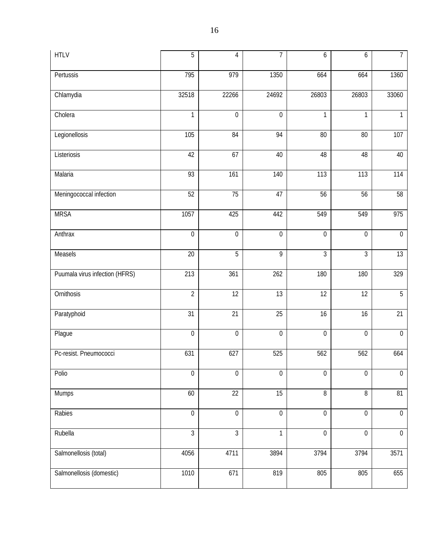| <b>HTLV</b>                    | 5                | 4                | 7                | 6                | 6                | $\overline{7}$   |
|--------------------------------|------------------|------------------|------------------|------------------|------------------|------------------|
| Pertussis                      | 795              | 979              | 1350             | 664              | 664              | 1360             |
| Chlamydia                      | 32518            | 22266            | 24692            | 26803            | 26803            | 33060            |
| Cholera                        | $\mathbf{1}$     | $\boldsymbol{0}$ | $\mathbf 0$      | $\mathbf{1}$     | $\mathbf{1}$     | $\mathbf{1}$     |
| Legionellosis                  | 105              | 84               | 94               | 80               | 80               | 107              |
| Listeriosis                    | 42               | 67               | 40               | 48               | 48               | 40               |
| Malaria                        | 93               | 161              | $\overline{1}40$ | 113              | 113              | 114              |
| Meningococcal infection        | 52               | 75               | 47               | 56               | 56               | 58               |
| <b>MRSA</b>                    | 1057             | 425              | 442              | 549              | 549              | 975              |
| Anthrax                        | $\boldsymbol{0}$ | 0                | $\boldsymbol{0}$ | $\boldsymbol{0}$ | $\boldsymbol{0}$ | $\boldsymbol{0}$ |
| Measels                        | 20               | $\overline{5}$   | 9                | 3                | $\overline{3}$   | 13               |
| Puumala virus infection (HFRS) | 213              | 361              | 262              | 180              | 180              | 329              |
| Ornithosis                     | $\overline{2}$   | $\overline{12}$  | $\overline{13}$  | $\overline{12}$  | $\overline{12}$  | 5                |
| Paratyphoid                    | 31               | $\overline{21}$  | 25               | 16               | 16               | 21               |
| Plague                         | $\boldsymbol{0}$ | $\mathbf 0$      | $\boldsymbol{0}$ | $\mathbf 0$      | $\boldsymbol{0}$ | $\boldsymbol{0}$ |
| Pc-resist. Pneumococci         | 631              | 627              | 525              | 562              | 562              | 664              |
| Polio                          | $\boldsymbol{0}$ | $\overline{0}$   | $\boldsymbol{0}$ | $\mathbf 0$      | $\boldsymbol{0}$ | $\boldsymbol{0}$ |
| Mumps                          | 60               | $\overline{22}$  | 15               | $\, 8$           | $\, 8$           | 81               |
| Rabies                         | $\boldsymbol{0}$ | $\mathbf 0$      | $\boldsymbol{0}$ | $\mathbf 0$      | $\boldsymbol{0}$ | $\boldsymbol{0}$ |
| Rubella                        | $\overline{3}$   | $\overline{3}$   | $\mathbf{1}$     | $\boldsymbol{0}$ | $\boldsymbol{0}$ | $\boldsymbol{0}$ |
| Salmonellosis (total)          | 4056             | 4711             | 3894             | 3794             | 3794             | 3571             |
| Salmonellosis (domestic)       | 1010             | 671              | 819              | 805              | 805              | 655              |
|                                |                  |                  |                  |                  |                  |                  |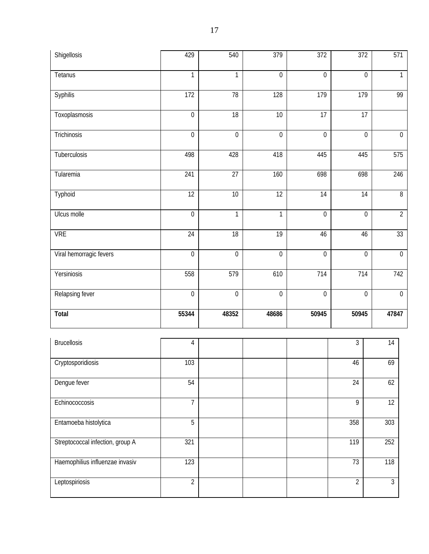| Shigellosis                      | 429              | 540              | 379              | 372              | 372              | 571              |
|----------------------------------|------------------|------------------|------------------|------------------|------------------|------------------|
| Tetanus                          | $\mathbf{1}$     | $\mathbf{1}$     | $\boldsymbol{0}$ | $\mathbf 0$      | $\boldsymbol{0}$ | $\mathbf{1}$     |
| <b>Syphilis</b>                  | 172              | 78               | 128              | 179              | 179              | 99               |
| Toxoplasmosis                    | $\boldsymbol{0}$ | 18               | $10$             | 17               | 17               |                  |
| Trichinosis                      | $\boldsymbol{0}$ | $\boldsymbol{0}$ | $\boldsymbol{0}$ | $\boldsymbol{0}$ | $\mathbf 0$      | $\boldsymbol{0}$ |
| Tuberculosis                     | 498              | 428              | 418              | 445              | 445              | 575              |
| Tularemia                        | 241              | 27               | 160              | 698              | 698              | 246              |
| Typhoid                          | 12               | 10               | 12               | 14               | $\overline{14}$  | $\overline{8}$   |
| Ulcus molle                      | $\boldsymbol{0}$ | $\mathbf{1}$     | $\mathbf{1}$     | $\boldsymbol{0}$ | $\boldsymbol{0}$ | $\overline{2}$   |
| <b>VRE</b>                       | 24               | 18               | 19               | 46               | 46               | 33               |
| Viral hemorragic fevers          | $\boldsymbol{0}$ | $\boldsymbol{0}$ | $\boldsymbol{0}$ | $\boldsymbol{0}$ | $\boldsymbol{0}$ | $\overline{0}$   |
| Yersiniosis                      | 558              | 579              | 610              | 714              | 714              | 742              |
| Relapsing fever                  | $\boldsymbol{0}$ | $\boldsymbol{0}$ | $\boldsymbol{0}$ | $\boldsymbol{0}$ | $\boldsymbol{0}$ | $\boldsymbol{0}$ |
| Total                            | 55344            | 48352            | 48686            | 50945            | 50945            | 47847            |
| <b>Brucellosis</b>               | $\overline{4}$   |                  |                  |                  | $\overline{3}$   | 14               |
| Cryptosporidiosis                | 103              |                  |                  |                  | 46               | 69               |
| Dengue fever                     | 54               |                  |                  |                  | 24               | 62               |
| Echinococcosis                   | $\overline{7}$   |                  |                  |                  | 9                | 12               |
| Entamoeba histolytica            | $\overline{5}$   |                  |                  |                  | 358              | 303              |
| Streptococcal infection, group A | 321              |                  |                  |                  | 119              | 252              |
| Haemophilius influenzae invasiv  | 123              |                  |                  |                  | 73               | 118              |
| Leptospiriosis                   | $\overline{2}$   |                  |                  |                  | $\overline{2}$   | $\mathfrak{Z}$   |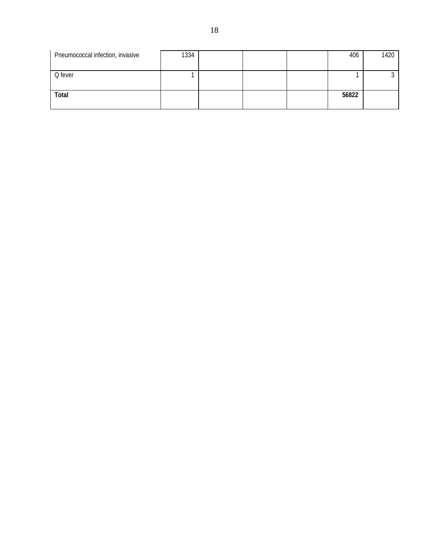| Pneumococcal infection, invasive | 1334 |  | 406   | 1420 |
|----------------------------------|------|--|-------|------|
|                                  |      |  |       |      |
| Q fever                          |      |  |       |      |
|                                  |      |  |       |      |
| Total                            |      |  | 56822 |      |
|                                  |      |  |       |      |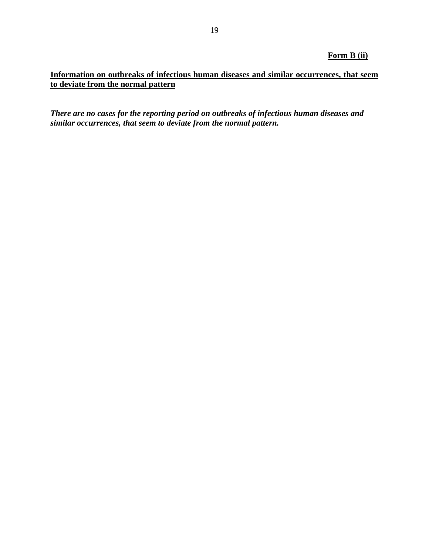### **Form B (ii)**

## **Information on outbreaks of infectious human diseases and similar occurrences, that seem to deviate from the normal pattern**

*There are no cases for the reporting period on outbreaks of infectious human diseases and similar occurrences, that seem to deviate from the normal pattern.*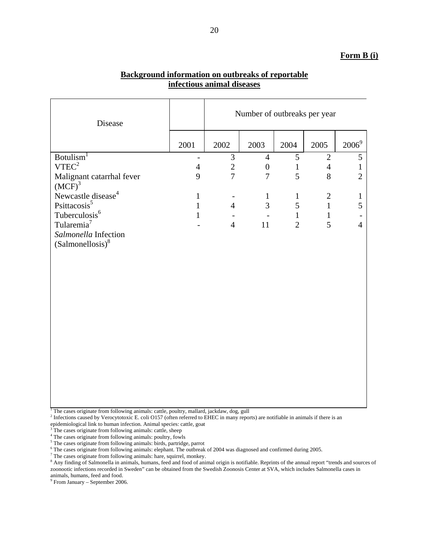#### **Form B (i)**

| Disease                                     |                                            | Number of outbreaks per year     |                                    |                            |                                  |                   |
|---------------------------------------------|--------------------------------------------|----------------------------------|------------------------------------|----------------------------|----------------------------------|-------------------|
|                                             | 2001                                       | 2002                             | 2003                               | 2004                       | 2005                             | $2006^9$          |
| Botulism <sup>1</sup><br>VTEC <sup>2</sup>  | $\overline{\phantom{a}}$<br>$\overline{4}$ | $\mathfrak{Z}$<br>$\overline{2}$ | $\overline{4}$<br>$\boldsymbol{0}$ | $\sqrt{5}$<br>$\mathbf{1}$ | $\overline{2}$<br>$\overline{4}$ | 5<br>$\mathbf{1}$ |
| Malignant catarrhal fever<br>$(MCF)^3$      | 9                                          | $\overline{7}$                   | $\overline{7}$                     | 5                          | 8                                | $\overline{2}$    |
| Newcastle disease <sup>4</sup>              | $\mathbf{1}$                               |                                  | $\mathbf{1}$                       | $\mathbf{1}$               | $\mathbf{2}$                     | $\mathbf{1}$      |
| Psittacosis <sup>5</sup>                    | $\mathbf{1}$                               | $\overline{4}$                   | $\overline{3}$                     | 5                          | $\mathbf{1}$                     | 5                 |
| Tuberculosis <sup>6</sup>                   | $\mathbf{1}$                               |                                  |                                    | $\mathbf{1}$               | $\mathbf{1}$                     |                   |
| Tularemia <sup>7</sup>                      |                                            | $\overline{4}$                   | 11                                 | $\overline{2}$             | 5                                | $\overline{4}$    |
| Salmonella Infection<br>$(Salmonellosis)^8$ |                                            |                                  |                                    |                            |                                  |                   |
|                                             |                                            |                                  |                                    |                            |                                  |                   |
|                                             |                                            |                                  |                                    |                            |                                  |                   |
|                                             |                                            |                                  |                                    |                            |                                  |                   |
|                                             |                                            |                                  |                                    |                            |                                  |                   |
|                                             |                                            |                                  |                                    |                            |                                  |                   |
|                                             |                                            |                                  |                                    |                            |                                  |                   |
|                                             |                                            |                                  |                                    |                            |                                  |                   |
|                                             |                                            |                                  |                                    |                            |                                  |                   |
|                                             |                                            |                                  |                                    |                            |                                  |                   |
|                                             |                                            |                                  |                                    |                            |                                  |                   |
|                                             |                                            |                                  |                                    |                            |                                  |                   |
|                                             |                                            |                                  |                                    |                            |                                  |                   |

### **Background information on outbreaks of reportable infectious animal diseases**

<sup>1</sup> The cases originate from following animals: cattle, poultry, mallard, jackdaw, dog, gull  $^{2}$  Infections general by Verseutetaria E, goli Q157 (often referred to EUEC in many range

<sup>2</sup> Infections caused by Verocytotoxic E. coli O157 (often referred to EHEC in many reports) are notifiable in animals if there is an epidemiological link to human infection. Animal species: cattle, goat  $3\text{ The cases of similar formula}$  cattle sheep

 $\frac{3}{4}$ The cases originate from following animals: cattle, sheep  $\frac{4}{4}$ The cases originate from following animals: poultry, four

<sup>4</sup> The cases originate from following animals: poultry, fowls

<sup>5</sup> The cases originate from following animals: birds, partridge, parrot

 $^6$  The cases originate from following animals: elephant. The outbreak of 2004 was diagnosed and confirmed during 2005.

 $7$  The cases originate from following animals: hare, squirrel, monkey.

<sup>8</sup> Any finding of Salmonella in animals, humans, feed and food of animal origin is notifiable. Reprints of the annual report "trends and sources of zoonootic infections recorded in Sweden" can be obtained from the Swedish Zoonosis Center at SVA, which includes Salmonella cases in animals, humans, feed and food.

9 From January – September 2006.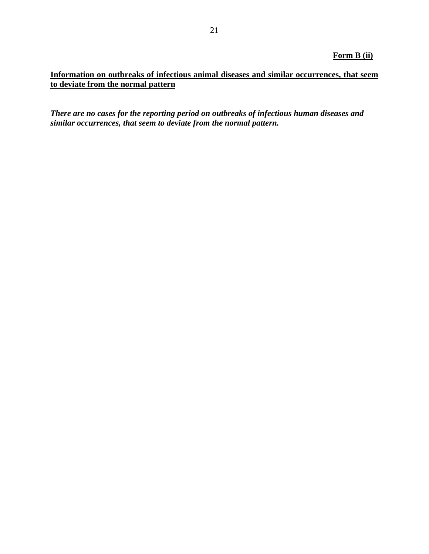### **Form B (ii)**

## **Information on outbreaks of infectious animal diseases and similar occurrences, that seem to deviate from the normal pattern**

*There are no cases for the reporting period on outbreaks of infectious human diseases and similar occurrences, that seem to deviate from the normal pattern.*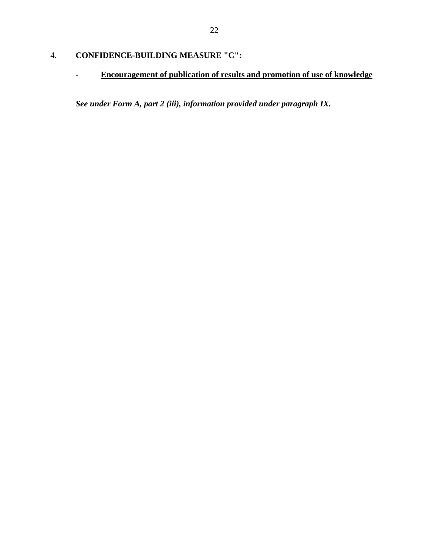# 4. **CONFIDENCE-BUILDING MEASURE "C":**

**- Encouragement of publication of results and promotion of use of knowledge**

*See under Form A, part 2 (iii), information provided under paragraph IX.*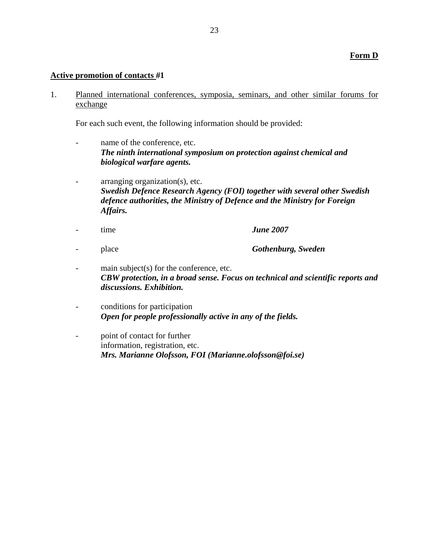#### **Active promotion of contacts** #**1**

1. Planned international conferences, symposia, seminars, and other similar forums for exchange

For each such event, the following information should be provided:

- name of the conference, etc. *The ninth international symposium on protection against chemical and biological warfare agents.*
- arranging organization(s), etc. *Swedish Defence Research Agency (FOI) together with several other Swedish defence authorities, the Ministry of Defence and the Ministry for Foreign Affairs.*
- time *June 2007*
- place *Gothenburg, Sweden*
- main subject(s) for the conference, etc. *CBW protection, in a broad sense. Focus on technical and scientific reports and discussions. Exhibition.*
- conditions for participation *Open for people professionally active in any of the fields.*
- point of contact for further information, registration, etc. *Mrs. Marianne Olofsson, FOI (Marianne.olofsson@foi.se)*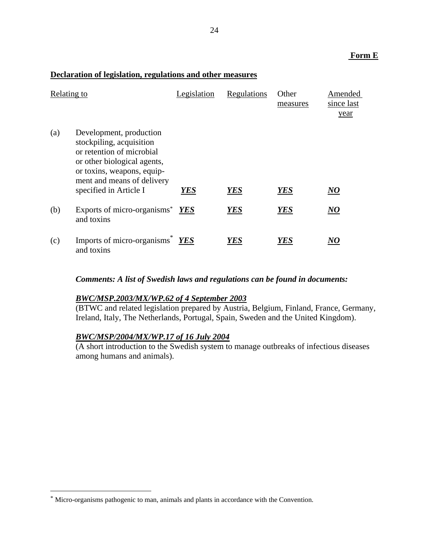#### **Form E**

#### **Declaration of legislation, regulations and other measures**

| Relating to |                                                                                                                                                                                                       | Legislation | Regulations | Other<br>measures | Amended<br>since last<br>year |
|-------------|-------------------------------------------------------------------------------------------------------------------------------------------------------------------------------------------------------|-------------|-------------|-------------------|-------------------------------|
| (a)         | Development, production<br>stockpiling, acquisition<br>or retention of microbial<br>or other biological agents,<br>or toxins, weapons, equip-<br>ment and means of delivery<br>specified in Article I | YES         | <b>YES</b>  | <b>YES</b>        | $N\!O$                        |
| (b)         | Exports of micro-organisms $YES$<br>and toxins                                                                                                                                                        |             | <b>YES</b>  | <b>YES</b>        | $\bm{NO}$                     |
| (c)         | Imports of micro-organisms <sup>*</sup><br>and toxins                                                                                                                                                 | <b>YES</b>  | YES         | YES               | NO                            |

#### *Comments: A list of Swedish laws and regulations can be found in documents:*

### *BWC/MSP.2003/MX/WP.62 of 4 September 2003*

(BTWC and related legislation prepared by Austria, Belgium, Finland, France, Germany, Ireland, Italy, The Netherlands, Portugal, Spain, Sweden and the United Kingdom).

## *BWC/MSP/2004/MX/WP.17 of 16 July 2004*

 $\overline{a}$ 

(A short introduction to the Swedish system to manage outbreaks of infectious diseases among humans and animals).

<sup>\*</sup> Micro-organisms pathogenic to man, animals and plants in accordance with the Convention.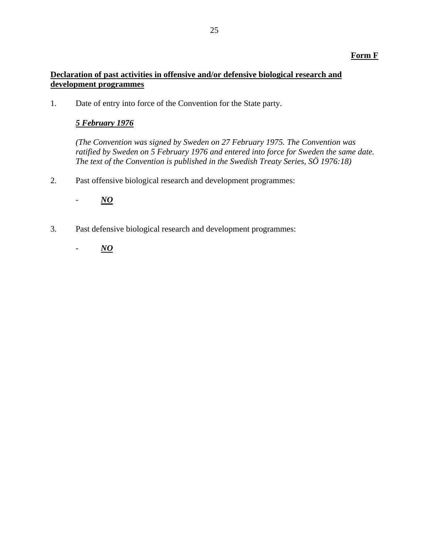### **Form F**

## **Declaration of past activities in offensive and/or defensive biological research and development programmes**

1. Date of entry into force of the Convention for the State party.

### *5 February 1976*

*(The Convention was signed by Sweden on 27 February 1975. The Convention was ratified by Sweden on 5 February 1976 and entered into force for Sweden the same date. The text of the Convention is published in the Swedish Treaty Series, SÖ 1976:18)* 

2. Past offensive biological research and development programmes:

- *NO*

3. Past defensive biological research and development programmes:

- *NO*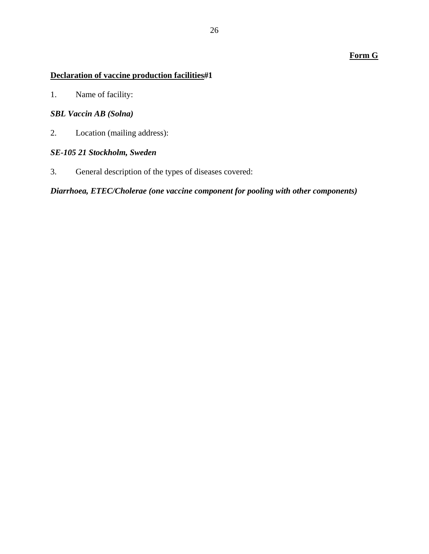## **Form G**

# **Declaration of vaccine production facilities**#**1**

1. Name of facility:

# *SBL Vaccin AB (Solna)*

2. Location (mailing address):

## *SE-105 21 Stockholm, Sweden*

3. General description of the types of diseases covered:

*Diarrhoea, ETEC/Cholerae (one vaccine component for pooling with other components)*